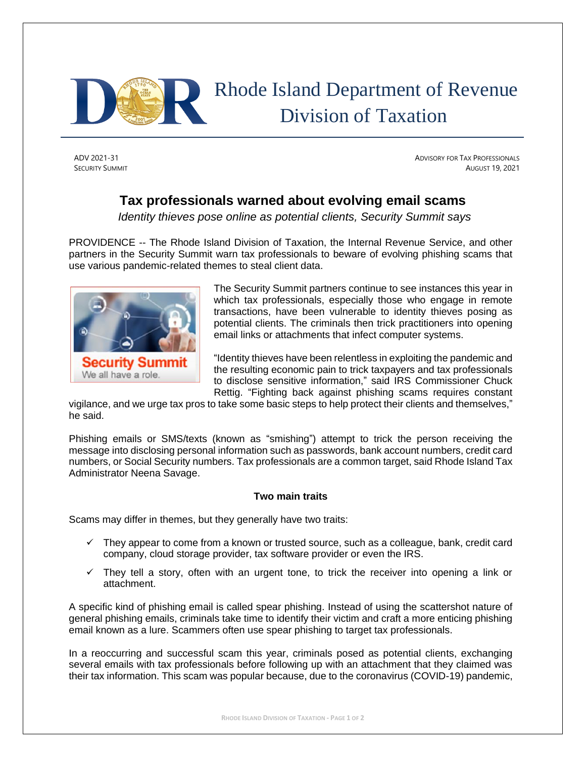

# Rhode Island Department of Revenue Division of Taxation

ADV 2021-31 ADVISORY FOR TAX PROFESSIONALS **SECURITY SUMMIT** AUGUST 19, 2021

# **Tax professionals warned about evolving email scams**

*Identity thieves pose online as potential clients, Security Summit says*

PROVIDENCE -- The Rhode Island Division of Taxation, the Internal Revenue Service, and other partners in the Security Summit warn tax professionals to beware of evolving phishing scams that use various pandemic-related themes to steal client data.



The Security Summit partners continue to see instances this year in which tax professionals, especially those who engage in remote transactions, have been vulnerable to identity thieves posing as potential clients. The criminals then trick practitioners into opening email links or attachments that infect computer systems.

"Identity thieves have been relentless in exploiting the pandemic and the resulting economic pain to trick taxpayers and tax professionals to disclose sensitive information," said IRS Commissioner Chuck Rettig. "Fighting back against phishing scams requires constant

vigilance, and we urge tax pros to take some basic steps to help protect their clients and themselves," he said.

Phishing emails or SMS/texts (known as "smishing") attempt to trick the person receiving the message into disclosing personal information such as passwords, bank account numbers, credit card numbers, or Social Security numbers. Tax professionals are a common target, said Rhode Island Tax Administrator Neena Savage.

## **Two main traits**

Scams may differ in themes, but they generally have two traits:

- $\checkmark$  They appear to come from a known or trusted source, such as a colleague, bank, credit card company, cloud storage provider, tax software provider or even the IRS.
- $\checkmark$  They tell a story, often with an urgent tone, to trick the receiver into opening a link or attachment.

A specific kind of phishing email is called spear phishing. Instead of using the scattershot nature of general phishing emails, criminals take time to identify their victim and craft a more enticing phishing email known as a lure. Scammers often use spear phishing to target tax professionals.

In a reoccurring and successful scam this year, criminals posed as potential clients, exchanging several emails with tax professionals before following up with an attachment that they claimed was their tax information. This scam was popular because, due to the coronavirus (COVID-19) pandemic,